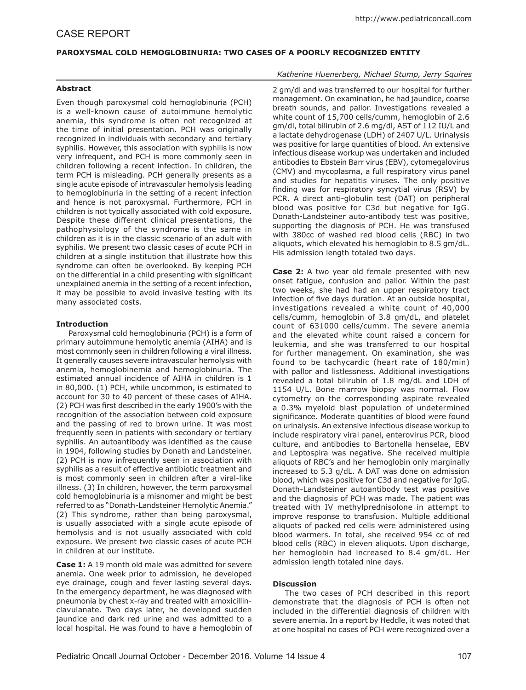# **PAROXYSMAL COLD HEMOGLOBINURIA: TWO CASES OF A POORLY RECOGNIZED ENTITY**

## **Abstract**

Even though paroxysmal cold hemoglobinuria (PCH) is a well-known cause of autoimmune hemolytic anemia, this syndrome is often not recognized at the time of initial presentation. PCH was originally recognized in individuals with secondary and tertiary syphilis. However, this association with syphilis is now very infrequent, and PCH is more commonly seen in children following a recent infection. In children, the term PCH is misleading. PCH generally presents as a single acute episode of intravascular hemolysis leading to hemoglobinuria in the setting of a recent infection and hence is not paroxysmal. Furthermore, PCH in children is not typically associated with cold exposure. Despite these different clinical presentations, the pathophysiology of the syndrome is the same in children as it is in the classic scenario of an adult with syphilis. We present two classic cases of acute PCH in children at a single institution that illustrate how this syndrome can often be overlooked. By keeping PCH on the differential in a child presenting with significant unexplained anemia in the setting of a recent infection, it may be possible to avoid invasive testing with its many associated costs.

# **Introduction**

Paroxysmal cold hemoglobinuria (PCH) is a form of primary autoimmune hemolytic anemia (AIHA) and is most commonly seen in children following a viral illness. It generally causes severe intravascular hemolysis with anemia, hemoglobinemia and hemoglobinuria. The estimated annual incidence of AIHA in children is 1 in 80,000. (1) PCH, while uncommon, is estimated to account for 30 to 40 percent of these cases of AIHA. (2) PCH was first described in the early 1900's with the recognition of the association between cold exposure and the passing of red to brown urine. It was most frequently seen in patients with secondary or tertiary syphilis. An autoantibody was identified as the cause in 1904, following studies by Donath and Landsteiner. (2) PCH is now infrequently seen in association with syphilis as a result of effective antibiotic treatment and is most commonly seen in children after a viral-like illness. (3) In children, however, the term paroxysmal cold hemoglobinuria is a misnomer and might be best referred to as "Donath-Landsteiner Hemolytic Anemia." (2) This syndrome, rather than being paroxysmal, is usually associated with a single acute episode of hemolysis and is not usually associated with cold exposure. We present two classic cases of acute PCH in children at our institute.

**Case 1:** A 19 month old male was admitted for severe anemia. One week prior to admission, he developed eye drainage, cough and fever lasting several days. In the emergency department, he was diagnosed with pneumonia by chest x-ray and treated with amoxicillinclavulanate. Two days later, he developed sudden jaundice and dark red urine and was admitted to a local hospital. He was found to have a hemoglobin of

# *Katherine Huenerberg, Michael Stump, Jerry Squires*

2 gm/dl and was transferred to our hospital for further management. On examination, he had jaundice, coarse breath sounds, and pallor. Investigations revealed a white count of 15,700 cells/cumm, hemoglobin of 2.6 gm/dl, total bilirubin of 2.6 mg/dl, AST of 112 IU/L and a lactate dehydrogenase (LDH) of 2407 U/L. Urinalysis was positive for large quantities of blood. An extensive infectious disease workup was undertaken and included antibodies to Ebstein Barr virus (EBV), cytomegalovirus (CMV) and mycoplasma, a full respiratory virus panel and studies for hepatitis viruses. The only positive finding was for respiratory syncytial virus (RSV) by PCR. A direct anti-globulin test (DAT) on peripheral blood was positive for C3d but negative for IgG. Donath-Landsteiner auto-antibody test was positive, supporting the diagnosis of PCH. He was transfused with 380cc of washed red blood cells (RBC) in two aliquots, which elevated his hemoglobin to 8.5 gm/dL. His admission length totaled two days.

**Case 2:** A two year old female presented with new onset fatigue, confusion and pallor. Within the past two weeks, she had had an upper respiratory tract infection of five days duration. At an outside hospital, investigations revealed a white count of 40,000 cells/cumm, hemoglobin of 3.8 gm/dL, and platelet count of 631000 cells/cumm. The severe anemia and the elevated white count raised a concern for leukemia, and she was transferred to our hospital for further management. On examination, she was found to be tachycardic (heart rate of 180/min) with pallor and listlessness. Additional investigations revealed a total bilirubin of 1.8 mg/dL and LDH of 1154 U/L. Bone marrow biopsy was normal. Flow cytometry on the corresponding aspirate revealed a 0.3% myeloid blast population of undetermined significance. Moderate quantities of blood were found on urinalysis. An extensive infectious disease workup to include respiratory viral panel, enterovirus PCR, blood culture, and antibodies to Bartonella henselae, EBV and Leptospira was negative. She received multiple aliquots of RBC's and her hemoglobin only marginally increased to 5.3 g/dL. A DAT was done on admission blood, which was positive for C3d and negative for IgG. Donath-Landsteiner autoantibody test was positive and the diagnosis of PCH was made. The patient was treated with IV methylprednisolone in attempt to improve response to transfusion. Multiple additional aliquots of packed red cells were administered using blood warmers. In total, she received 954 cc of red blood cells (RBC) in eleven aliquots. Upon discharge, her hemoglobin had increased to 8.4 gm/dL. Her admission length totaled nine days.

## **Discussion**

The two cases of PCH described in this report demonstrate that the diagnosis of PCH is often not included in the differential diagnosis of children with severe anemia. In a report by Heddle, it was noted that at one hospital no cases of PCH were recognized over a